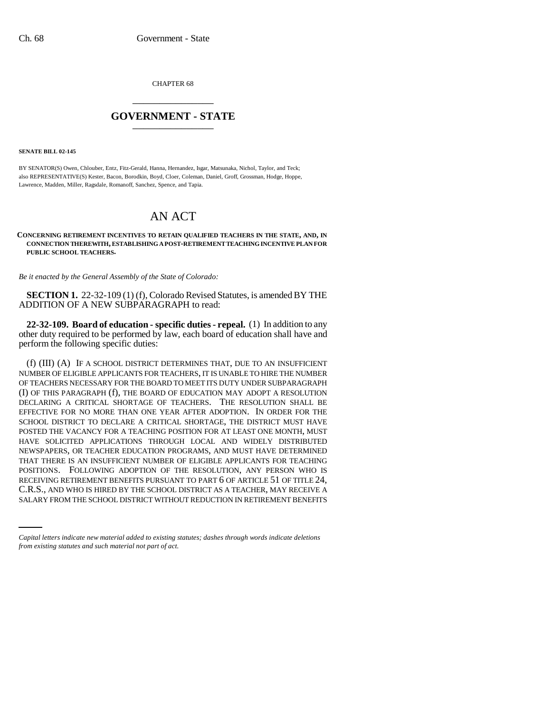CHAPTER 68 \_\_\_\_\_\_\_\_\_\_\_\_\_\_\_

## **GOVERNMENT - STATE** \_\_\_\_\_\_\_\_\_\_\_\_\_\_\_

**SENATE BILL 02-145**

BY SENATOR(S) Owen, Chlouber, Entz, Fitz-Gerald, Hanna, Hernandez, Isgar, Matsunaka, Nichol, Taylor, and Teck; also REPRESENTATIVE(S) Kester, Bacon, Borodkin, Boyd, Cloer, Coleman, Daniel, Groff, Grossman, Hodge, Hoppe, Lawrence, Madden, Miller, Ragsdale, Romanoff, Sanchez, Spence, and Tapia.

## AN ACT

## **CONCERNING RETIREMENT INCENTIVES TO RETAIN QUALIFIED TEACHERS IN THE STATE, AND, IN CONNECTION THEREWITH, ESTABLISHING A POST-RETIREMENT TEACHING INCENTIVE PLAN FOR PUBLIC SCHOOL TEACHERS.**

*Be it enacted by the General Assembly of the State of Colorado:*

**SECTION 1.** 22-32-109 (1) (f), Colorado Revised Statutes, is amended BY THE ADDITION OF A NEW SUBPARAGRAPH to read:

**22-32-109. Board of education - specific duties - repeal.** (1) In addition to any other duty required to be performed by law, each board of education shall have and perform the following specific duties:

RECEIVING RETIREMENT BENEFITS PURSUANT TO PART 6 OF ARTICLE 51 OF TITLE 24, (f) (III) (A) IF A SCHOOL DISTRICT DETERMINES THAT, DUE TO AN INSUFFICIENT NUMBER OF ELIGIBLE APPLICANTS FOR TEACHERS, IT IS UNABLE TO HIRE THE NUMBER OF TEACHERS NECESSARY FOR THE BOARD TO MEET ITS DUTY UNDER SUBPARAGRAPH (I) OF THIS PARAGRAPH (f), THE BOARD OF EDUCATION MAY ADOPT A RESOLUTION DECLARING A CRITICAL SHORTAGE OF TEACHERS. THE RESOLUTION SHALL BE EFFECTIVE FOR NO MORE THAN ONE YEAR AFTER ADOPTION. IN ORDER FOR THE SCHOOL DISTRICT TO DECLARE A CRITICAL SHORTAGE, THE DISTRICT MUST HAVE POSTED THE VACANCY FOR A TEACHING POSITION FOR AT LEAST ONE MONTH, MUST HAVE SOLICITED APPLICATIONS THROUGH LOCAL AND WIDELY DISTRIBUTED NEWSPAPERS, OR TEACHER EDUCATION PROGRAMS, AND MUST HAVE DETERMINED THAT THERE IS AN INSUFFICIENT NUMBER OF ELIGIBLE APPLICANTS FOR TEACHING POSITIONS. FOLLOWING ADOPTION OF THE RESOLUTION, ANY PERSON WHO IS C.R.S., AND WHO IS HIRED BY THE SCHOOL DISTRICT AS A TEACHER, MAY RECEIVE A SALARY FROM THE SCHOOL DISTRICT WITHOUT REDUCTION IN RETIREMENT BENEFITS

*Capital letters indicate new material added to existing statutes; dashes through words indicate deletions from existing statutes and such material not part of act.*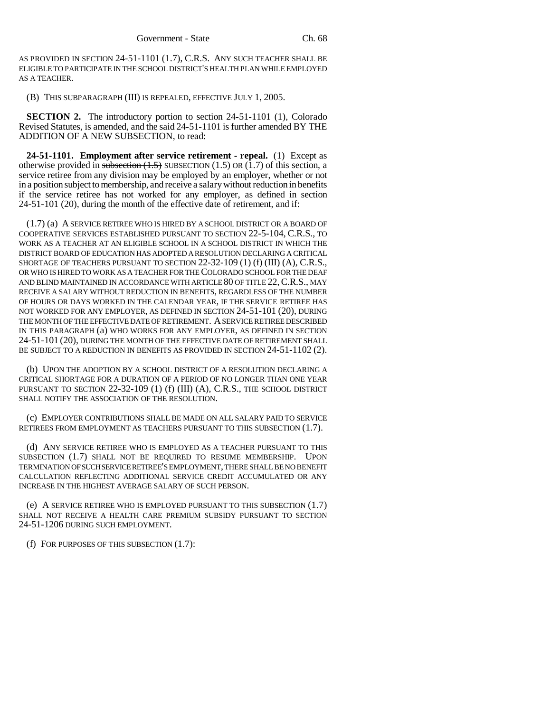AS PROVIDED IN SECTION 24-51-1101 (1.7), C.R.S. ANY SUCH TEACHER SHALL BE ELIGIBLE TO PARTICIPATE IN THE SCHOOL DISTRICT'S HEALTH PLAN WHILE EMPLOYED AS A TEACHER.

(B) THIS SUBPARAGRAPH (III) IS REPEALED, EFFECTIVE JULY 1, 2005.

**SECTION 2.** The introductory portion to section 24-51-1101 (1), Colorado Revised Statutes, is amended, and the said 24-51-1101 is further amended BY THE ADDITION OF A NEW SUBSECTION, to read:

**24-51-1101. Employment after service retirement - repeal.** (1) Except as otherwise provided in subsection  $(1.5)$  SUBSECTION  $(1.5)$  OR  $(1.7)$  of this section, a service retiree from any division may be employed by an employer, whether or not in a position subject to membership, and receive a salary without reduction in benefits if the service retiree has not worked for any employer, as defined in section 24-51-101 (20), during the month of the effective date of retirement, and if:

(1.7) (a) A SERVICE RETIREE WHO IS HIRED BY A SCHOOL DISTRICT OR A BOARD OF COOPERATIVE SERVICES ESTABLISHED PURSUANT TO SECTION 22-5-104, C.R.S., TO WORK AS A TEACHER AT AN ELIGIBLE SCHOOL IN A SCHOOL DISTRICT IN WHICH THE DISTRICT BOARD OF EDUCATION HAS ADOPTED A RESOLUTION DECLARING A CRITICAL SHORTAGE OF TEACHERS PURSUANT TO SECTION 22-32-109 (1) (f) (III) (A), C.R.S., OR WHO IS HIRED TO WORK AS A TEACHER FOR THE COLORADO SCHOOL FOR THE DEAF AND BLIND MAINTAINED IN ACCORDANCE WITH ARTICLE 80 OF TITLE 22, C.R.S., MAY RECEIVE A SALARY WITHOUT REDUCTION IN BENEFITS, REGARDLESS OF THE NUMBER OF HOURS OR DAYS WORKED IN THE CALENDAR YEAR, IF THE SERVICE RETIREE HAS NOT WORKED FOR ANY EMPLOYER, AS DEFINED IN SECTION 24-51-101 (20), DURING THE MONTH OF THE EFFECTIVE DATE OF RETIREMENT. A SERVICE RETIREE DESCRIBED IN THIS PARAGRAPH (a) WHO WORKS FOR ANY EMPLOYER, AS DEFINED IN SECTION 24-51-101 (20), DURING THE MONTH OF THE EFFECTIVE DATE OF RETIREMENT SHALL BE SUBJECT TO A REDUCTION IN BENEFITS AS PROVIDED IN SECTION 24-51-1102 (2).

(b) UPON THE ADOPTION BY A SCHOOL DISTRICT OF A RESOLUTION DECLARING A CRITICAL SHORTAGE FOR A DURATION OF A PERIOD OF NO LONGER THAN ONE YEAR PURSUANT TO SECTION 22-32-109 (1) (f) (III) (A), C.R.S., THE SCHOOL DISTRICT SHALL NOTIFY THE ASSOCIATION OF THE RESOLUTION.

(c) EMPLOYER CONTRIBUTIONS SHALL BE MADE ON ALL SALARY PAID TO SERVICE RETIREES FROM EMPLOYMENT AS TEACHERS PURSUANT TO THIS SUBSECTION (1.7).

(d) ANY SERVICE RETIREE WHO IS EMPLOYED AS A TEACHER PURSUANT TO THIS SUBSECTION (1.7) SHALL NOT BE REQUIRED TO RESUME MEMBERSHIP. UPON TERMINATION OF SUCH SERVICE RETIREE'S EMPLOYMENT, THERE SHALL BE NO BENEFIT CALCULATION REFLECTING ADDITIONAL SERVICE CREDIT ACCUMULATED OR ANY INCREASE IN THE HIGHEST AVERAGE SALARY OF SUCH PERSON.

(e) A SERVICE RETIREE WHO IS EMPLOYED PURSUANT TO THIS SUBSECTION (1.7) SHALL NOT RECEIVE A HEALTH CARE PREMIUM SUBSIDY PURSUANT TO SECTION 24-51-1206 DURING SUCH EMPLOYMENT.

(f) FOR PURPOSES OF THIS SUBSECTION (1.7):